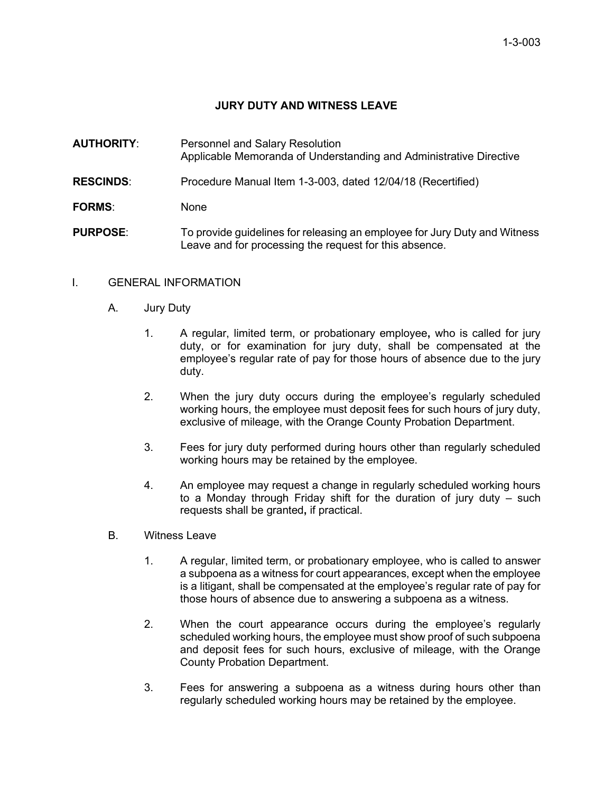# **JURY DUTY AND WITNESS LEAVE**

- **AUTHORITY**: Personnel and Salary Resolution Applicable Memoranda of Understanding and Administrative Directive
- **RESCINDS**: Procedure Manual Item 1-3-003, dated 12/04/18 (Recertified)
- **FORMS**: None
- **PURPOSE:** To provide guidelines for releasing an employee for Jury Duty and Witness Leave and for processing the request for this absence.

#### I. GENERAL INFORMATION

- A. Jury Duty
	- 1. A regular, limited term, or probationary employee**,** who is called for jury duty, or for examination for jury duty, shall be compensated at the employee's regular rate of pay for those hours of absence due to the jury duty.
	- 2. When the jury duty occurs during the employee's regularly scheduled working hours, the employee must deposit fees for such hours of jury duty, exclusive of mileage, with the Orange County Probation Department.
	- 3. Fees for jury duty performed during hours other than regularly scheduled working hours may be retained by the employee.
	- 4. An employee may request a change in regularly scheduled working hours to a Monday through Friday shift for the duration of jury duty – such requests shall be granted**,** if practical.
- B. Witness Leave
	- 1. A regular, limited term, or probationary employee, who is called to answer a subpoena as a witness for court appearances, except when the employee is a litigant, shall be compensated at the employee's regular rate of pay for those hours of absence due to answering a subpoena as a witness.
	- 2. When the court appearance occurs during the employee's regularly scheduled working hours, the employee must show proof of such subpoena and deposit fees for such hours, exclusive of mileage, with the Orange County Probation Department.
	- 3. Fees for answering a subpoena as a witness during hours other than regularly scheduled working hours may be retained by the employee.